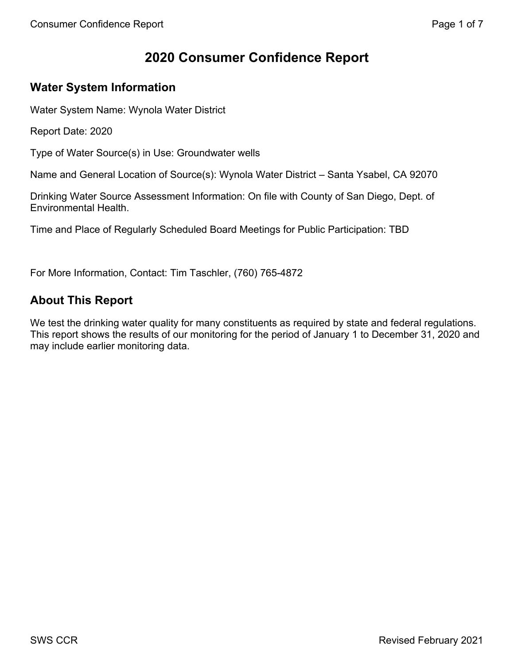# **2020 Consumer Confidence Report**

## **Water System Information**

Water System Name: Wynola Water District

Report Date: 2020

Type of Water Source(s) in Use: Groundwater wells

Name and General Location of Source(s): Wynola Water District – Santa Ysabel, CA 92070

Drinking Water Source Assessment Information: On file with County of San Diego, Dept. of Environmental Health.

Time and Place of Regularly Scheduled Board Meetings for Public Participation: TBD

For More Information, Contact: Tim Taschler, (760) 765-4872

## **About This Report**

We test the drinking water quality for many constituents as required by state and federal regulations. This report shows the results of our monitoring for the period of January 1 to December 31, 2020 and may include earlier monitoring data.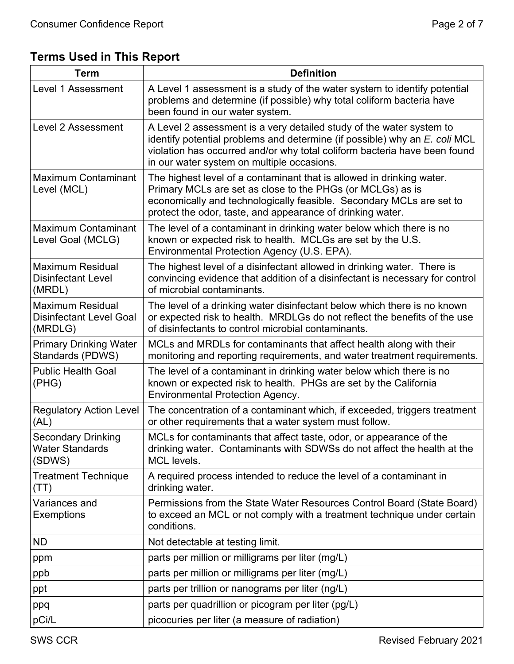**Terms Used in This Report** 

| <b>Term</b>                                                          | <b>Definition</b>                                                                                                                                                                                                                                                             |  |  |  |  |  |  |
|----------------------------------------------------------------------|-------------------------------------------------------------------------------------------------------------------------------------------------------------------------------------------------------------------------------------------------------------------------------|--|--|--|--|--|--|
| <b>Level 1 Assessment</b>                                            | A Level 1 assessment is a study of the water system to identify potential<br>problems and determine (if possible) why total coliform bacteria have<br>been found in our water system.                                                                                         |  |  |  |  |  |  |
| Level 2 Assessment                                                   | A Level 2 assessment is a very detailed study of the water system to<br>identify potential problems and determine (if possible) why an E. coli MCL<br>violation has occurred and/or why total coliform bacteria have been found<br>in our water system on multiple occasions. |  |  |  |  |  |  |
| Maximum Contaminant<br>Level (MCL)                                   | The highest level of a contaminant that is allowed in drinking water.<br>Primary MCLs are set as close to the PHGs (or MCLGs) as is<br>economically and technologically feasible. Secondary MCLs are set to<br>protect the odor, taste, and appearance of drinking water.     |  |  |  |  |  |  |
| Maximum Contaminant<br>Level Goal (MCLG)                             | The level of a contaminant in drinking water below which there is no<br>known or expected risk to health. MCLGs are set by the U.S.<br>Environmental Protection Agency (U.S. EPA).                                                                                            |  |  |  |  |  |  |
| <b>Maximum Residual</b><br><b>Disinfectant Level</b><br>(MRDL)       | The highest level of a disinfectant allowed in drinking water. There is<br>convincing evidence that addition of a disinfectant is necessary for control<br>of microbial contaminants.                                                                                         |  |  |  |  |  |  |
| <b>Maximum Residual</b><br><b>Disinfectant Level Goal</b><br>(MRDLG) | The level of a drinking water disinfectant below which there is no known<br>or expected risk to health. MRDLGs do not reflect the benefits of the use<br>of disinfectants to control microbial contaminants.                                                                  |  |  |  |  |  |  |
| <b>Primary Drinking Water</b><br>Standards (PDWS)                    | MCLs and MRDLs for contaminants that affect health along with their<br>monitoring and reporting requirements, and water treatment requirements.                                                                                                                               |  |  |  |  |  |  |
| <b>Public Health Goal</b><br>(PHG)                                   | The level of a contaminant in drinking water below which there is no<br>known or expected risk to health. PHGs are set by the California<br><b>Environmental Protection Agency.</b>                                                                                           |  |  |  |  |  |  |
| <b>Regulatory Action Level</b><br>(AL)                               | The concentration of a contaminant which, if exceeded, triggers treatment<br>or other requirements that a water system must follow.                                                                                                                                           |  |  |  |  |  |  |
| <b>Secondary Drinking</b><br><b>Water Standards</b><br>(SDWS)        | MCLs for contaminants that affect taste, odor, or appearance of the<br>drinking water. Contaminants with SDWSs do not affect the health at the<br>MCL levels.                                                                                                                 |  |  |  |  |  |  |
| <b>Treatment Technique</b><br>(TT)                                   | A required process intended to reduce the level of a contaminant in<br>drinking water.                                                                                                                                                                                        |  |  |  |  |  |  |
| Variances and<br><b>Exemptions</b>                                   | Permissions from the State Water Resources Control Board (State Board)<br>to exceed an MCL or not comply with a treatment technique under certain<br>conditions.                                                                                                              |  |  |  |  |  |  |
| <b>ND</b>                                                            | Not detectable at testing limit.                                                                                                                                                                                                                                              |  |  |  |  |  |  |
| ppm                                                                  | parts per million or milligrams per liter (mg/L)                                                                                                                                                                                                                              |  |  |  |  |  |  |
| ppb                                                                  | parts per million or milligrams per liter (mg/L)                                                                                                                                                                                                                              |  |  |  |  |  |  |
| ppt                                                                  | parts per trillion or nanograms per liter (ng/L)                                                                                                                                                                                                                              |  |  |  |  |  |  |
| ppq                                                                  | parts per quadrillion or picogram per liter (pg/L)                                                                                                                                                                                                                            |  |  |  |  |  |  |
| pCi/L                                                                | picocuries per liter (a measure of radiation)                                                                                                                                                                                                                                 |  |  |  |  |  |  |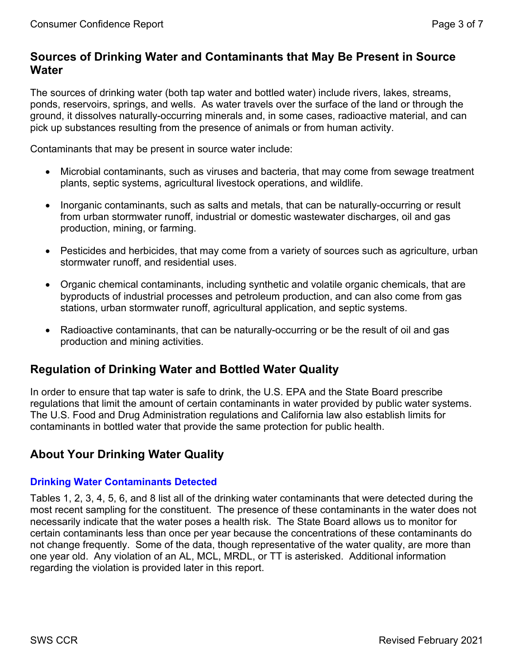### **Sources of Drinking Water and Contaminants that May Be Present in Source Water**

The sources of drinking water (both tap water and bottled water) include rivers, lakes, streams, ponds, reservoirs, springs, and wells. As water travels over the surface of the land or through the ground, it dissolves naturally-occurring minerals and, in some cases, radioactive material, and can pick up substances resulting from the presence of animals or from human activity.

Contaminants that may be present in source water include:

- Microbial contaminants, such as viruses and bacteria, that may come from sewage treatment plants, septic systems, agricultural livestock operations, and wildlife.
- Inorganic contaminants, such as salts and metals, that can be naturally-occurring or result from urban stormwater runoff, industrial or domestic wastewater discharges, oil and gas production, mining, or farming.
- Pesticides and herbicides, that may come from a variety of sources such as agriculture, urban stormwater runoff, and residential uses.
- Organic chemical contaminants, including synthetic and volatile organic chemicals, that are byproducts of industrial processes and petroleum production, and can also come from gas stations, urban stormwater runoff, agricultural application, and septic systems.
- Radioactive contaminants, that can be naturally-occurring or be the result of oil and gas production and mining activities.

## **Regulation of Drinking Water and Bottled Water Quality**

In order to ensure that tap water is safe to drink, the U.S. EPA and the State Board prescribe regulations that limit the amount of certain contaminants in water provided by public water systems. The U.S. Food and Drug Administration regulations and California law also establish limits for contaminants in bottled water that provide the same protection for public health.

## **About Your Drinking Water Quality**

#### **Drinking Water Contaminants Detected**

Tables 1, 2, 3, 4, 5, 6, and 8 list all of the drinking water contaminants that were detected during the most recent sampling for the constituent. The presence of these contaminants in the water does not necessarily indicate that the water poses a health risk. The State Board allows us to monitor for certain contaminants less than once per year because the concentrations of these contaminants do not change frequently. Some of the data, though representative of the water quality, are more than one year old. Any violation of an AL, MCL, MRDL, or TT is asterisked. Additional information regarding the violation is provided later in this report.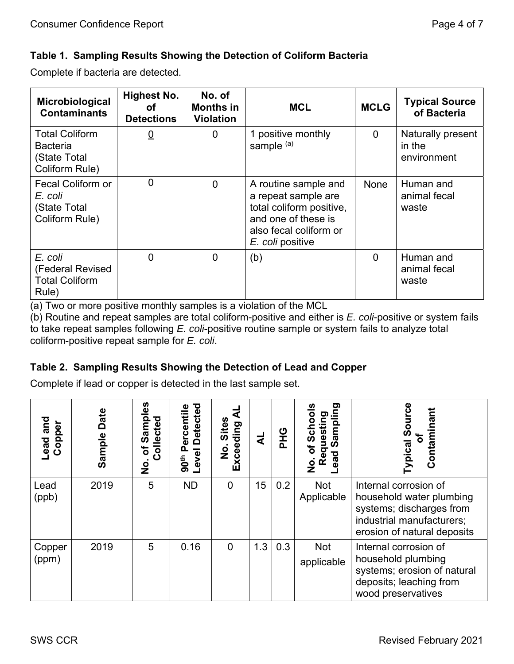#### **Table 1. Sampling Results Showing the Detection of Coliform Bacteria**

Complete if bacteria are detected.

| Microbiological<br><b>Contaminants</b>                                     | <b>Highest No.</b><br>οf<br><b>Detections</b> | No. of<br><b>Months in</b><br><b>Violation</b> | <b>MCL</b>                                                                                                                                   | <b>MCLG</b>    | <b>Typical Source</b><br>of Bacteria       |
|----------------------------------------------------------------------------|-----------------------------------------------|------------------------------------------------|----------------------------------------------------------------------------------------------------------------------------------------------|----------------|--------------------------------------------|
| <b>Total Coliform</b><br><b>Bacteria</b><br>(State Total<br>Coliform Rule) | $\underline{0}$                               | $\overline{0}$                                 | 1 positive monthly<br>sample <sup>(a)</sup>                                                                                                  | $\overline{0}$ | Naturally present<br>in the<br>environment |
| Fecal Coliform or<br>E. coli<br>(State Total<br>Coliform Rule)             | $\overline{0}$                                | $\overline{0}$                                 | A routine sample and<br>a repeat sample are<br>total coliform positive,<br>and one of these is<br>also fecal coliform or<br>E. coli positive | None           | Human and<br>animal fecal<br>waste         |
| E. coli<br>(Federal Revised<br><b>Total Coliform</b><br>Rule)              | $\Omega$                                      | $\overline{0}$                                 | (b)                                                                                                                                          | $\overline{0}$ | Human and<br>animal fecal<br>waste         |

(a) Two or more positive monthly samples is a violation of the MCL

(b) Routine and repeat samples are total coliform-positive and either is *E. coli*-positive or system fails to take repeat samples following *E. coli*-positive routine sample or system fails to analyze total coliform-positive repeat sample for *E. coli*.

### **Table 2. Sampling Results Showing the Detection of Lead and Copper**

Complete if lead or copper is detected in the last sample set.

| and<br><b>Lead and</b><br>Copper | Date<br>Sample | ပ္ယ<br>amp<br>Collected<br>U)<br>৳<br>$\mathbf{z}$ | <b>Detected</b><br>ercentile<br><u>ռ</u><br>Level<br>90 <sup>th</sup> | <b>Sites</b><br>Exceeding<br>o<br>Z | ₹   | <b>DHG</b> | ರಾ<br>Samplin<br>ත<br>lestil<br><u>კუ</u><br>$\overline{\sigma}$<br>σ<br>ਠ<br>ω<br>ΘÃ<br>≃<br>$\frac{\mathsf{o}}{\mathsf{z}}$ | <b>Typical Source</b><br>Contaminant<br>្ត្រី                                                                                             |
|----------------------------------|----------------|----------------------------------------------------|-----------------------------------------------------------------------|-------------------------------------|-----|------------|-------------------------------------------------------------------------------------------------------------------------------|-------------------------------------------------------------------------------------------------------------------------------------------|
| Lead<br>(ppb)                    | 2019           | 5                                                  | <b>ND</b>                                                             | $\mathbf 0$                         | 15  | 0.2        | <b>Not</b><br>Applicable                                                                                                      | Internal corrosion of<br>household water plumbing<br>systems; discharges from<br>industrial manufacturers;<br>erosion of natural deposits |
| Copper<br>(ppm)                  | 2019           | 5                                                  | 0.16                                                                  | $\Omega$                            | 1.3 | 0.3        | <b>Not</b><br>applicable                                                                                                      | Internal corrosion of<br>household plumbing<br>systems; erosion of natural<br>deposits; leaching from<br>wood preservatives               |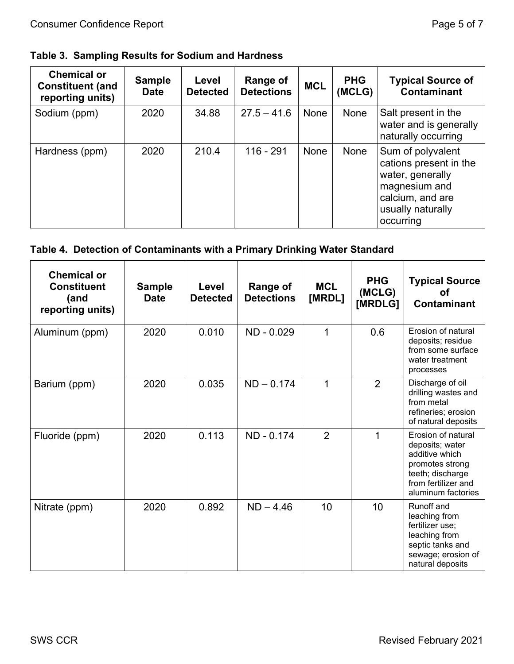### **Table 3. Sampling Results for Sodium and Hardness**

| <b>Chemical or</b><br><b>Constituent (and</b><br>reporting units) | <b>Sample</b><br><b>Date</b> | Level<br><b>Detected</b> | Range of<br><b>Detections</b> | <b>MCL</b> | <b>PHG</b><br>(MCLG) | <b>Typical Source of</b><br><b>Contaminant</b>                                                                                         |
|-------------------------------------------------------------------|------------------------------|--------------------------|-------------------------------|------------|----------------------|----------------------------------------------------------------------------------------------------------------------------------------|
| Sodium (ppm)                                                      | 2020                         | 34.88                    | $27.5 - 41.6$                 | None       | None                 | Salt present in the<br>water and is generally<br>naturally occurring                                                                   |
| Hardness (ppm)                                                    | 2020                         | 210.4                    | 116 - 291                     | None       | None                 | Sum of polyvalent<br>cations present in the<br>water, generally<br>magnesium and<br>calcium, and are<br>usually naturally<br>occurring |

#### **Table 4. Detection of Contaminants with a Primary Drinking Water Standard**

| <b>Chemical or</b><br><b>Constituent</b><br>(and<br>reporting units) | <b>Sample</b><br><b>Date</b> | Level<br><b>Detected</b> | Range of<br><b>Detections</b> | <b>MCL</b><br>[MRDL] | <b>PHG</b><br>(MCLG)<br>[MRDLG] | <b>Typical Source</b><br>Ωt<br><b>Contaminant</b>                                                                                           |
|----------------------------------------------------------------------|------------------------------|--------------------------|-------------------------------|----------------------|---------------------------------|---------------------------------------------------------------------------------------------------------------------------------------------|
| Aluminum (ppm)                                                       | 2020                         | 0.010                    | ND - 0.029                    | $\mathbf 1$          | 0.6                             | Erosion of natural<br>deposits; residue<br>from some surface<br>water treatment<br>processes                                                |
| Barium (ppm)                                                         | 2020                         | 0.035                    | $ND - 0.174$                  | 1                    | $\overline{2}$                  | Discharge of oil<br>drilling wastes and<br>from metal<br>refineries; erosion<br>of natural deposits                                         |
| Fluoride (ppm)                                                       | 2020                         | 0.113                    | ND - 0.174                    | 2                    | 1                               | Erosion of natural<br>deposits; water<br>additive which<br>promotes strong<br>teeth; discharge<br>from fertilizer and<br>aluminum factories |
| Nitrate (ppm)                                                        | 2020                         | 0.892                    | $ND - 4.46$                   | 10                   | 10 <sup>1</sup>                 | Runoff and<br>leaching from<br>fertilizer use;<br>leaching from<br>septic tanks and<br>sewage; erosion of<br>natural deposits               |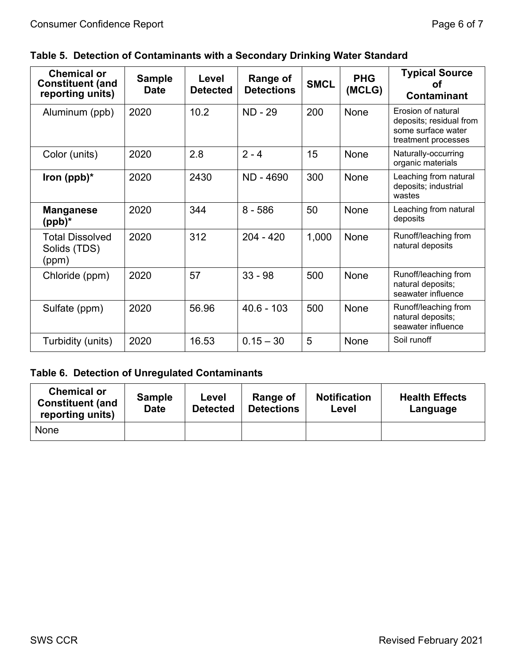| <b>Chemical or</b><br><b>Constituent (and</b><br>reporting units) | <b>Sample</b><br><b>Date</b> | Level<br><b>Detected</b> | <b>Range of</b><br><b>Detections</b> | <b>SMCL</b> | <b>PHG</b><br>(MCLG) | <b>Typical Source</b><br>ΩŤ<br><b>Contaminant</b>                                          |
|-------------------------------------------------------------------|------------------------------|--------------------------|--------------------------------------|-------------|----------------------|--------------------------------------------------------------------------------------------|
| Aluminum (ppb)                                                    | 2020                         | 10.2                     | <b>ND - 29</b>                       | 200         | None                 | Erosion of natural<br>deposits; residual from<br>some surface water<br>treatment processes |
| Color (units)                                                     | 2020                         | 2.8                      | $2 - 4$                              | 15          | None                 | Naturally-occurring<br>organic materials                                                   |
| Iron $(ppb)^*$                                                    | 2020                         | 2430                     | ND - 4690                            | 300         | <b>None</b>          | Leaching from natural<br>deposits; industrial<br>wastes                                    |
| <b>Manganese</b><br>(ppb)*                                        | 2020                         | 344                      | $8 - 586$                            | 50          | None                 | Leaching from natural<br>deposits                                                          |
| <b>Total Dissolved</b><br>Solids (TDS)<br>(ppm)                   | 2020                         | 312                      | $204 - 420$                          | 1,000       | None                 | Runoff/leaching from<br>natural deposits                                                   |
| Chloride (ppm)                                                    | 2020                         | 57                       | $33 - 98$                            | 500         | None                 | Runoff/leaching from<br>natural deposits;<br>seawater influence                            |
| Sulfate (ppm)                                                     | 2020                         | 56.96                    | $40.6 - 103$                         | 500         | None                 | Runoff/leaching from<br>natural deposits;<br>seawater influence                            |
| Turbidity (units)                                                 | 2020                         | 16.53                    | $0.15 - 30$                          | 5           | None                 | Soil runoff                                                                                |

### **Table 6. Detection of Unregulated Contaminants**

| <b>Chemical or</b><br><b>Constituent (and</b><br>reporting units) | <b>Sample</b><br><b>Date</b> | Level<br><b>Detected</b> | Range of<br><b>Detections</b> | <b>Notification</b><br>Level | <b>Health Effects</b><br>Language |
|-------------------------------------------------------------------|------------------------------|--------------------------|-------------------------------|------------------------------|-----------------------------------|
| None                                                              |                              |                          |                               |                              |                                   |